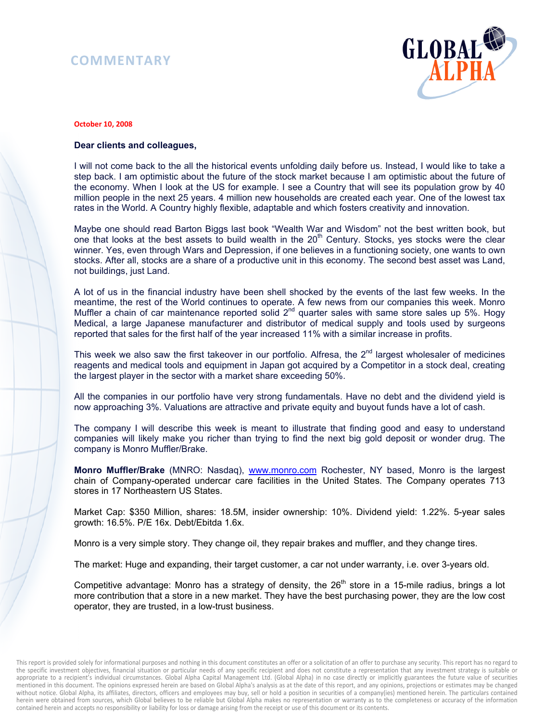## **COMMENTARY**



## **October 10, 2008**

## **Dear clients and colleagues,**

I will not come back to the all the historical events unfolding daily before us. Instead, I would like to take a step back. I am optimistic about the future of the stock market because I am optimistic about the future of the economy. When I look at the US for example. I see a Country that will see its population grow by 40 million people in the next 25 years. 4 million new households are created each year. One of the lowest tax rates in the World. A Country highly flexible, adaptable and which fosters creativity and innovation.

Maybe one should read Barton Biggs last book "Wealth War and Wisdom" not the best written book, but one that looks at the best assets to build wealth in the  $20<sup>th</sup>$  Century. Stocks, yes stocks were the clear winner. Yes, even through Wars and Depression, if one believes in a functioning society, one wants to own stocks. After all, stocks are a share of a productive unit in this economy. The second best asset was Land, not buildings, just Land.

A lot of us in the financial industry have been shell shocked by the events of the last few weeks. In the meantime, the rest of the World continues to operate. A few news from our companies this week. Monro Muffler a chain of car maintenance reported solid  $2<sup>nd</sup>$  quarter sales with same store sales up 5%. Hogy Medical, a large Japanese manufacturer and distributor of medical supply and tools used by surgeons reported that sales for the first half of the year increased 11% with a similar increase in profits.

This week we also saw the first takeover in our portfolio. Alfresa, the  $2<sup>nd</sup>$  largest wholesaler of medicines reagents and medical tools and equipment in Japan got acquired by a Competitor in a stock deal, creating the largest player in the sector with a market share exceeding 50%.

All the companies in our portfolio have very strong fundamentals. Have no debt and the dividend yield is now approaching 3%. Valuations are attractive and private equity and buyout funds have a lot of cash.

The company I will describe this week is meant to illustrate that finding good and easy to understand companies will likely make you richer than trying to find the next big gold deposit or wonder drug. The company is Monro Muffler/Brake.

**Monro Muffler/Brake** (MNRO: Nasdaq), www.monro.com Rochester, NY based, Monro is the largest chain of Company-operated undercar care facilities in the United States. The Company operates 713 stores in 17 Northeastern US States.

Market Cap: \$350 Million, shares: 18.5M, insider ownership: 10%. Dividend yield: 1.22%. 5-year sales growth: 16.5%. P/E 16x. Debt/Ebitda 1.6x.

Monro is a very simple story. They change oil, they repair brakes and muffler, and they change tires.

The market: Huge and expanding, their target customer, a car not under warranty, i.e. over 3-years old.

Competitive advantage: Monro has a strategy of density, the 26<sup>th</sup> store in a 15-mile radius, brings a lot more contribution that a store in a new market. They have the best purchasing power, they are the low cost operator, they are trusted, in a low-trust business.

This report is provided solely for informational purposes and nothing in this document constitutes an offer or a solicitation of an offer to purchase any security. This report has no regard to the specific investment objectives, financial situation or particular needs of any specific recipient and does not constitute a representation that any investment strategy is suitable or appropriate to a recipient's individual circumstances. Global Alpha Capital Management Ltd. (Global Alpha) in no case directly or implicitly guarantees the future value of securities mentioned in this document. The opinions expressed herein are based on Global Alpha's analysis as at the date of this report, and any opinions, projections or estimates may be changed without notice. Global Alpha, its affiliates, directors, officers and employees may buy, sell or hold a position in securities of a company(ies) mentioned herein. The particulars contained herein were obtained from sources, which Global believes to be reliable but Global Alpha makes no representation or warranty as to the completeness or accuracy of the information contained herein and accepts no responsibility or liability for loss or damage arising from the receipt or use of this document or its contents.